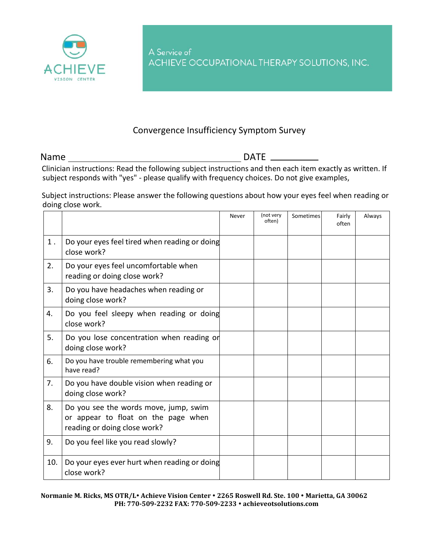

A Service of ACHIEVE OCCUPATIONAL THERAPY SOLUTIONS, INC.

## Convergence Insufficiency Symptom Survey

Name DATE

Clinician instructions: Read the following subject instructions and then each item exactly as written. If subject responds with "yes" - please qualify with frequency choices. Do not give examples,

Subject instructions: Please answer the following questions about how your eyes feel when reading or doing close work.

|       |                                                                                                              | Never | (not very<br>often) | Sometimes | Fairly<br>often | Always |
|-------|--------------------------------------------------------------------------------------------------------------|-------|---------------------|-----------|-----------------|--------|
| $1$ . | Do your eyes feel tired when reading or doing<br>close work?                                                 |       |                     |           |                 |        |
| 2.    | Do your eyes feel uncomfortable when<br>reading or doing close work?                                         |       |                     |           |                 |        |
| 3.    | Do you have headaches when reading or<br>doing close work?                                                   |       |                     |           |                 |        |
| 4.    | Do you feel sleepy when reading or doing<br>close work?                                                      |       |                     |           |                 |        |
| 5.    | Do you lose concentration when reading or<br>doing close work?                                               |       |                     |           |                 |        |
| 6.    | Do you have trouble remembering what you<br>have read?                                                       |       |                     |           |                 |        |
| 7.    | Do you have double vision when reading or<br>doing close work?                                               |       |                     |           |                 |        |
| 8.    | Do you see the words move, jump, swim<br>or appear to float on the page when<br>reading or doing close work? |       |                     |           |                 |        |
| 9.    | Do you feel like you read slowly?                                                                            |       |                     |           |                 |        |
| 10.   | Do your eyes ever hurt when reading or doing<br>close work?                                                  |       |                     |           |                 |        |

**Normanie M. Ricks, MS OTR/L Achieve Vision Center 2265 Roswell Rd. Ste. 100 Marietta, GA 30062 PH: 770-509-2232 FAX: 770-509-2233 achieveotsolutions.com**